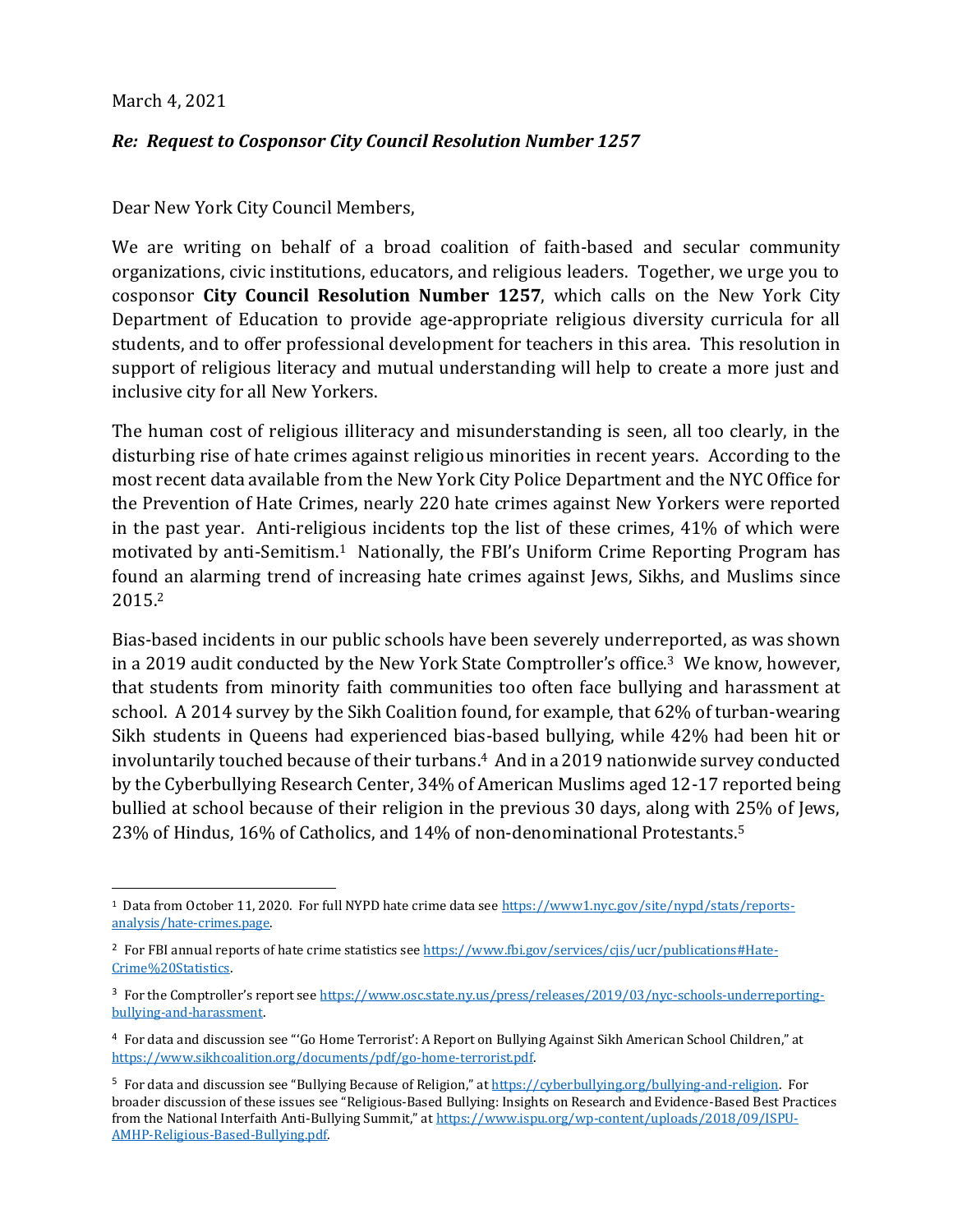## March 4, 2021

## *Re: Request to Cosponsor City Council Resolution Number 1257*

Dear New York City Council Members,

We are writing on behalf of a broad coalition of faith-based and secular community organizations, civic institutions, educators, and religious leaders. Together, we urge you to cosponsor **City Council Resolution Number 1257**, which calls on the New York City Department of Education to provide age-appropriate religious diversity curricula for all students, and to offer professional development for teachers in this area. This resolution in support of religious literacy and mutual understanding will help to create a more just and inclusive city for all New Yorkers.

The human cost of religious illiteracy and misunderstanding is seen, all too clearly, in the disturbing rise of hate crimes against religious minorities in recent years. According to the most recent data available from the New York City Police Department and the NYC Office for the Prevention of Hate Crimes, nearly 220 hate crimes against New Yorkers were reported in the past year. Anti-religious incidents top the list of these crimes, 41% of which were motivated by anti-Semitism. <sup>1</sup> Nationally, the FBI's Uniform Crime Reporting Program has found an alarming trend of increasing hate crimes against Jews, Sikhs, and Muslims since 2015.<sup>2</sup>

Bias-based incidents in our public schools have been severely underreported, as was shown in a 2019 audit conducted by the New York State Comptroller's office.<sup>3</sup> We know, however, that students from minority faith communities too often face bullying and harassment at school. A 2014 survey by the Sikh Coalition found, for example, that 62% of turban-wearing Sikh students in Queens had experienced bias-based bullying, while 42% had been hit or involuntarily touched because of their turbans. <sup>4</sup> And in a 2019 nationwide survey conducted by the Cyberbullying Research Center, 34% of American Muslims aged 12-17 reported being bullied at school because of their religion in the previous 30 days, along with 25% of Jews, 23% of Hindus, 16% of Catholics, and 14% of non-denominational Protestants.<sup>5</sup>

<sup>&</sup>lt;sup>1</sup> Data from October 11, 2020. For full NYPD hate crime data see https://www1.nyc.gov/site/nypd/stats/reportsanalysis/hate-crimes.page.

<sup>&</sup>lt;sup>2</sup> For FBI annual reports of hate crime statistics see https://www.fbi.gov/services/cjis/ucr/publications#Hate-Crime%20Statistics.

<sup>&</sup>lt;sup>3</sup> For the Comptroller's report see https://www.osc.state.ny.us/press/releases/2019/03/nyc-schools-underreportingbullying-and-harassment.

<sup>4</sup> For data and discussion see "'Go Home Terrorist': A Report on Bullying Against Sikh American School Children," at https://www.sikhcoalition.org/documents/pdf/go-home-terrorist.pdf.

<sup>&</sup>lt;sup>5</sup> For data and discussion see "Bullying Because of Religion," at https://cyberbullying.org/bullying-and-religion. For broader discussion of these issues see "Religious-Based Bullying: Insights on Research and Evidence-Based Best Practices from the National Interfaith Anti-Bullying Summit," at https://www.ispu.org/wp-content/uploads/2018/09/ISPU-AMHP-Religious-Based-Bullying.pdf.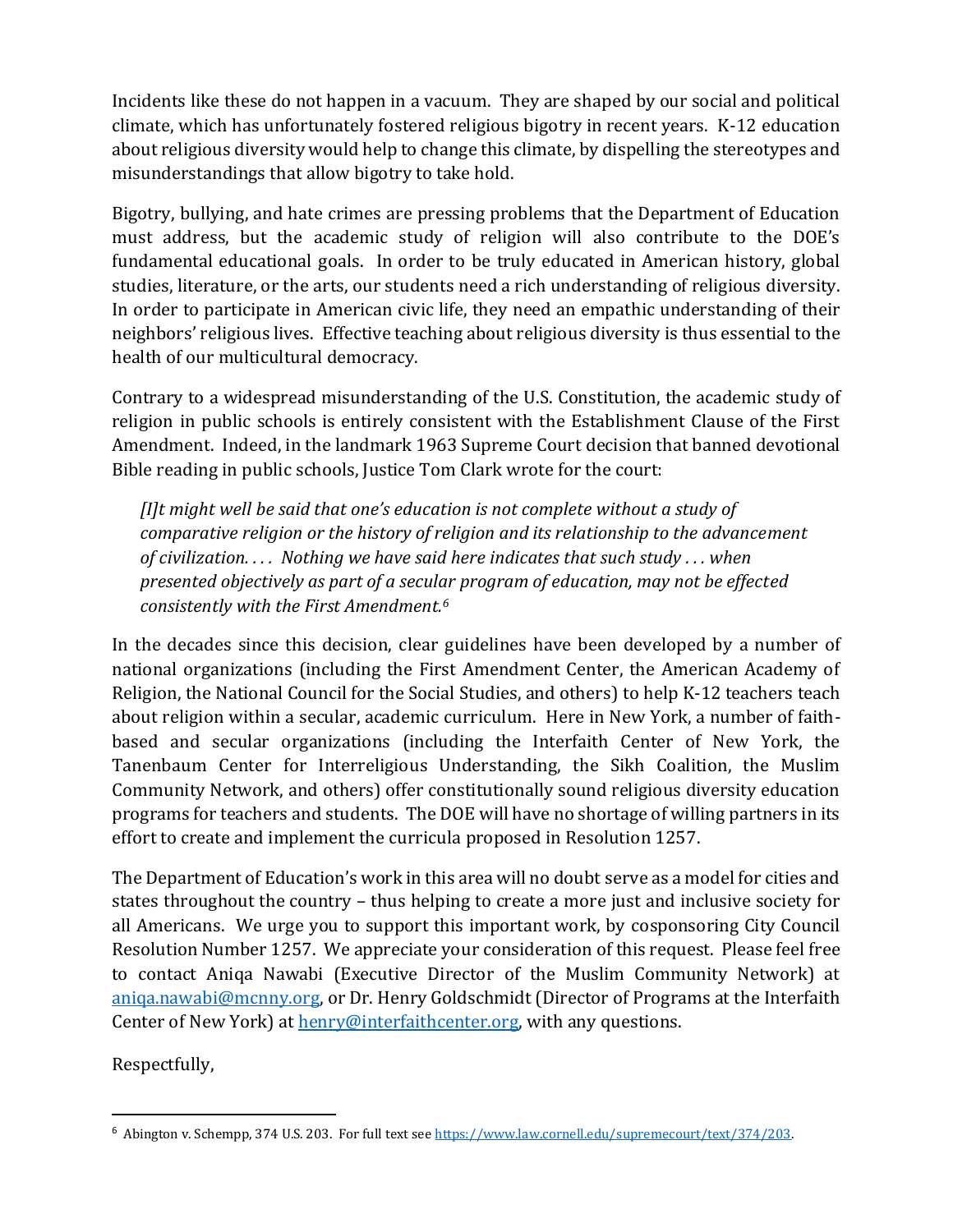Incidents like these do not happen in a vacuum. They are shaped by our social and political climate, which has unfortunately fostered religious bigotry in recent years. K-12 education about religious diversity would help to change this climate, by dispelling the stereotypes and misunderstandings that allow bigotry to take hold.

Bigotry, bullying, and hate crimes are pressing problems that the Department of Education must address, but the academic study of religion will also contribute to the DOE's fundamental educational goals. In order to be truly educated in American history, global studies, literature, or the arts, our students need a rich understanding of religious diversity. In order to participate in American civic life, they need an empathic understanding of their neighbors' religious lives. Effective teaching about religious diversity is thus essential to the health of our multicultural democracy.

Contrary to a widespread misunderstanding of the U.S. Constitution, the academic study of religion in public schools is entirely consistent with the Establishment Clause of the First Amendment. Indeed, in the landmark 1963 Supreme Court decision that banned devotional Bible reading in public schools, Justice Tom Clark wrote for the court:

*[I]t might well be said that one's education is not complete without a study of comparative religion or the history of religion and its relationship to the advancement of civilization. . . . Nothing we have said here indicates that such study . . . when presented objectively as part of a secular program of education, may not be effected consistently with the First Amendment.<sup>6</sup>*

In the decades since this decision, clear guidelines have been developed by a number of national organizations (including the First Amendment Center, the American Academy of Religion, the National Council for the Social Studies, and others) to help K-12 teachers teach about religion within a secular, academic curriculum. Here in New York, a number of faithbased and secular organizations (including the Interfaith Center of New York, the Tanenbaum Center for Interreligious Understanding, the Sikh Coalition, the Muslim Community Network, and others) offer constitutionally sound religious diversity education programs for teachers and students. The DOE will have no shortage of willing partners in its effort to create and implement the curricula proposed in Resolution 1257.

The Department of Education's work in this area will no doubt serve as a model for cities and states throughout the country – thus helping to create a more just and inclusive society for all Americans. We urge you to support this important work, by cosponsoring City Council Resolution Number 1257. We appreciate your consideration of this request. Please feel free to contact Aniqa Nawabi (Executive Director of the Muslim Community Network) at aniqa.nawabi@mcnny.org, or Dr. Henry Goldschmidt (Director of Programs at the Interfaith Center of New York) at henry@interfaithcenter.org, with any questions.

Respectfully,

<sup>6</sup> Abington v. Schempp, 374 U.S. 203. For full text see https://www.law.cornell.edu/supremecourt/text/374/203.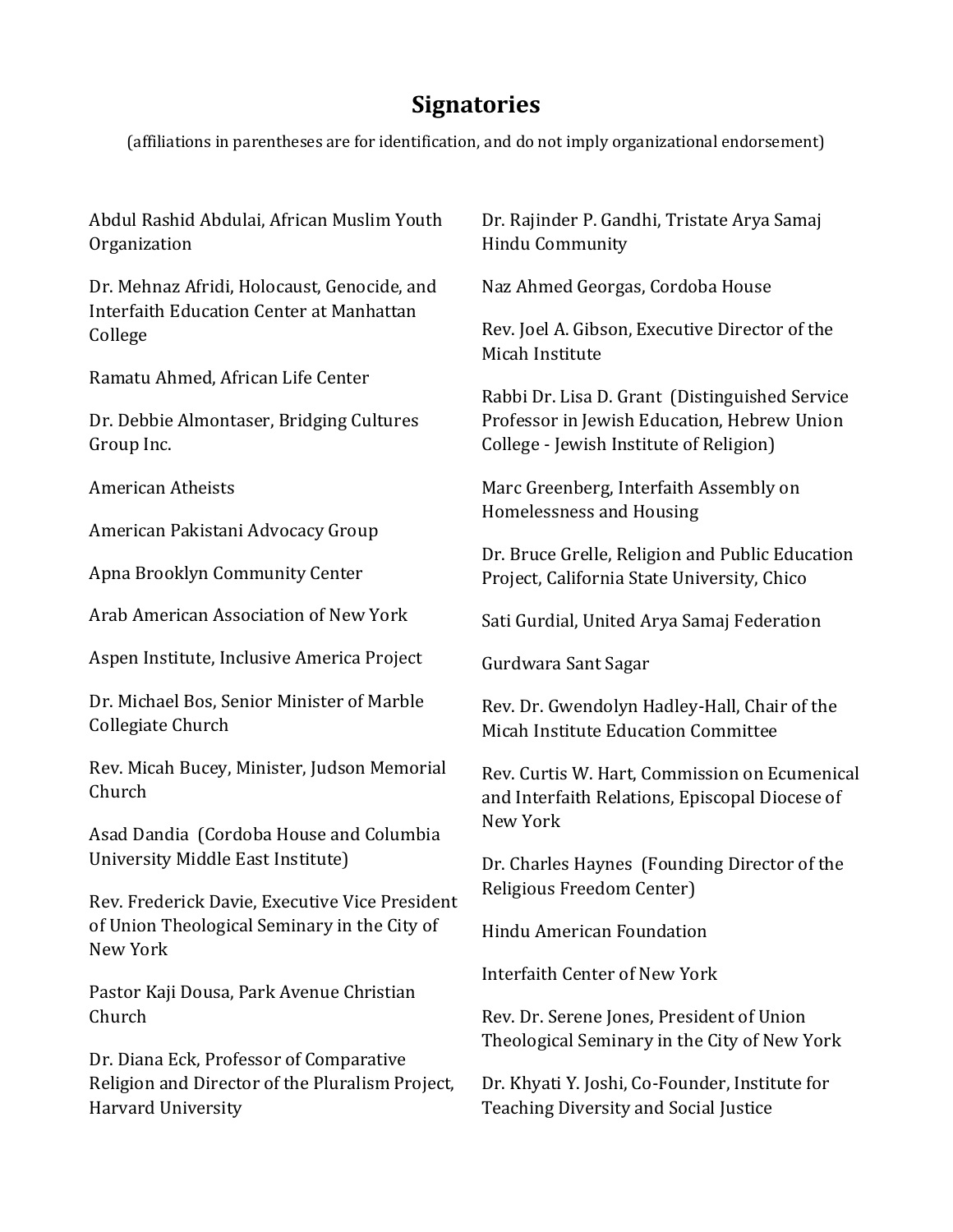## **Signatories**

(affiliations in parentheses are for identification, and do not imply organizational endorsement)

Abdul Rashid Abdulai, African Muslim Youth Organization

Dr. Mehnaz Afridi, Holocaust, Genocide, and Interfaith Education Center at Manhattan College

Ramatu Ahmed, African Life Center

Dr. Debbie Almontaser, Bridging Cultures Group Inc.

American Atheists

American Pakistani Advocacy Group

Apna Brooklyn Community Center

Arab American Association of New York

Aspen Institute, Inclusive America Project

Dr. Michael Bos, Senior Minister of Marble Collegiate Church

Rev. Micah Bucey, Minister, Judson Memorial Church

Asad Dandia (Cordoba House and Columbia University Middle East Institute)

Rev. Frederick Davie, Executive Vice President of Union Theological Seminary in the City of New York

Pastor Kaji Dousa, Park Avenue Christian Church

Dr. Diana Eck, Professor of Comparative Religion and Director of the Pluralism Project, Harvard University

Dr. Rajinder P. Gandhi, Tristate Arya Samaj Hindu Community

Naz Ahmed Georgas, Cordoba House

Rev. Joel A. Gibson, Executive Director of the Micah Institute

Rabbi Dr. Lisa D. Grant (Distinguished Service Professor in Jewish Education, Hebrew Union College - Jewish Institute of Religion)

Marc Greenberg, Interfaith Assembly on Homelessness and Housing

Dr. Bruce Grelle, Religion and Public Education Project, California State University, Chico

Sati Gurdial, United Arya Samaj Federation

Gurdwara Sant Sagar

Rev. Dr. Gwendolyn Hadley-Hall, Chair of the Micah Institute Education Committee

Rev. Curtis W. Hart, Commission on Ecumenical and Interfaith Relations, Episcopal Diocese of New York

Dr. Charles Haynes (Founding Director of the Religious Freedom Center)

Hindu American Foundation

Interfaith Center of New York

Rev. Dr. Serene Jones, President of Union Theological Seminary in the City of New York

Dr. Khyati Y. Joshi, Co-Founder, Institute for Teaching Diversity and Social Justice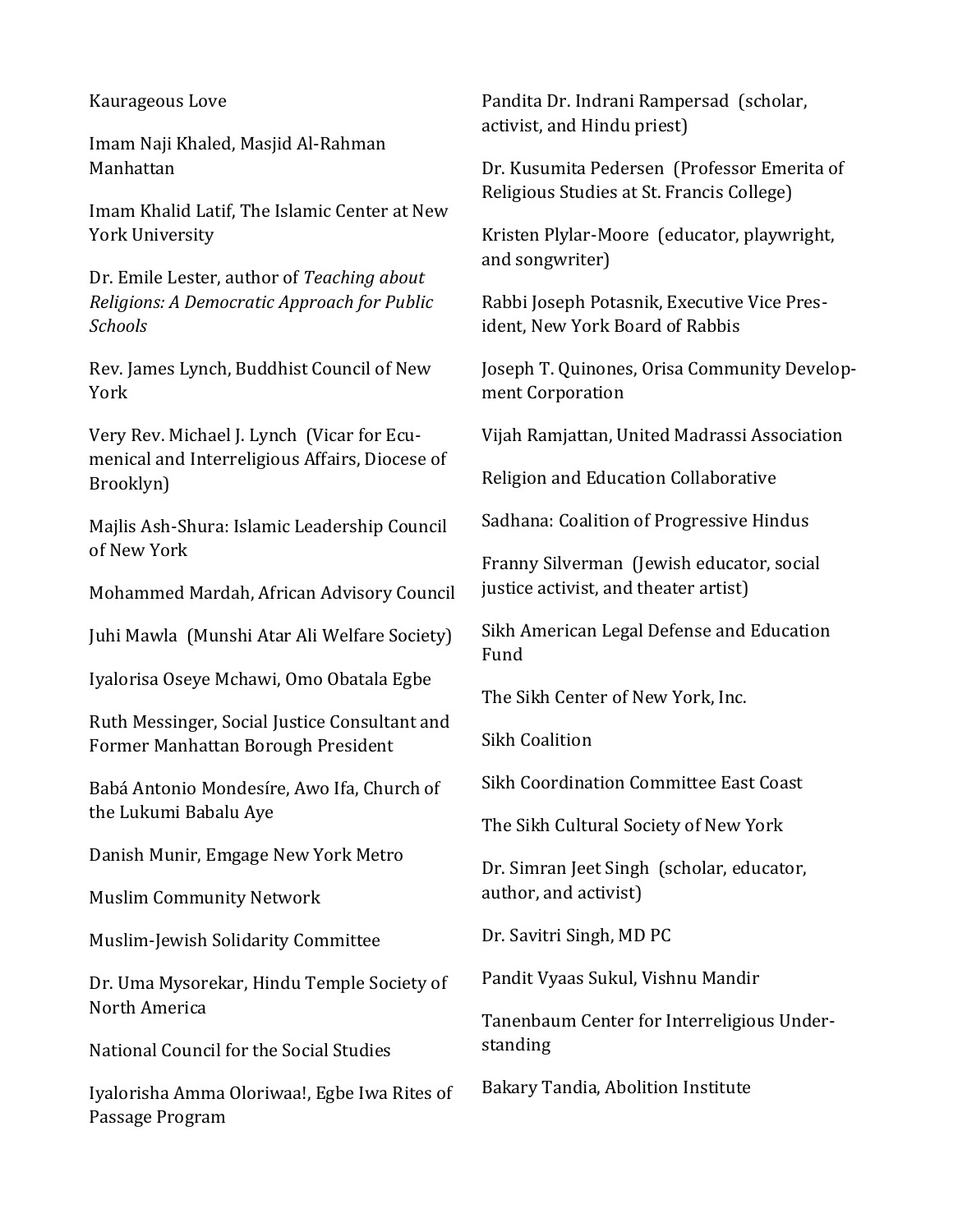## Kaurageous Love

Imam Naji Khaled, Masjid Al-Rahman Manhattan

Imam Khalid Latif, The Islamic Center at New York University

Dr. Emile Lester, author of *Teaching about Religions: A Democratic Approach for Public Schools*

Rev. James Lynch, Buddhist Council of New York

Very Rev. Michael J. Lynch (Vicar for Ecumenical and Interreligious Affairs, Diocese of Brooklyn)

Majlis Ash-Shura: Islamic Leadership Council of New York

Mohammed Mardah, African Advisory Council

Juhi Mawla (Munshi Atar Ali Welfare Society)

Iyalorisa Oseye Mchawi, Omo Obatala Egbe

Ruth Messinger, Social Justice Consultant and Former Manhattan Borough President

Babá Antonio Mondesíre, Awo Ifa, Church of the Lukumi Babalu Aye

Danish Munir, Emgage New York Metro

Muslim Community Network

Muslim-Jewish Solidarity Committee

Dr. Uma Mysorekar, Hindu Temple Society of North America

National Council for the Social Studies

Iyalorisha Amma Oloriwaa!, Egbe Iwa Rites of Passage Program

Pandita Dr. Indrani Rampersad (scholar, activist, and Hindu priest)

Dr. Kusumita Pedersen (Professor Emerita of Religious Studies at St. Francis College)

Kristen Plylar-Moore (educator, playwright, and songwriter)

Rabbi Joseph Potasnik, Executive Vice President, New York Board of Rabbis

Joseph T. Quinones, Orisa Community Development Corporation

Vijah Ramjattan, United Madrassi Association

Religion and Education Collaborative

Sadhana: Coalition of Progressive Hindus

Franny Silverman (Jewish educator, social justice activist, and theater artist)

Sikh American Legal Defense and Education Fund

The Sikh Center of New York, Inc.

Sikh Coalition

Sikh Coordination Committee East Coast

The Sikh Cultural Society of New York

Dr. Simran Jeet Singh (scholar, educator, author, and activist)

Dr. Savitri Singh, MD PC

Pandit Vyaas Sukul, Vishnu Mandir

Tanenbaum Center for Interreligious Understanding

Bakary Tandia, Abolition Institute